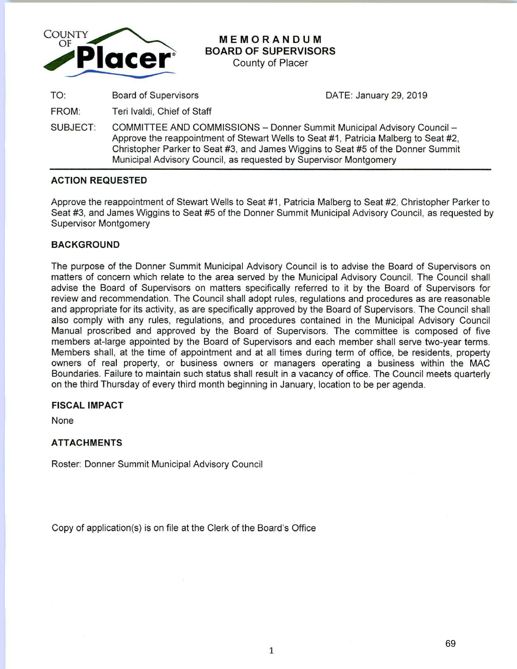

# **MEMORANDUM BOARD OF SUPERVISORS**

County of Placer

TO: Board of Supervisors DATE: January 29, 2019

FROM: Teri lvaldi, Chief of Staff

SUBJECT: COMMITTEE AND COMMISSIONS - Donner Summit Municipal Advisory Council -Approve the reappointment of Stewart Wells to Seat #1, Patricia Malberg to Seat #2, Christopher Parker to Seat #3, and James Wiggins to Seat #5 of the Donner Summit Municipal Advisory Council, as requested by Supervisor Montgomery

## **ACTION REQUESTED**

Approve the reappointment of Stewart Wells to Seat #1, Patricia Malberg to Seat #2, Christopher Parker to Seat #3, and James Wiggins to Seat #5 of the Donner Summit Municipal Advisory Council, as requested by Supervisor Montgomery

## **BACKGROUND**

The purpose of the Donner Summit Municipal Advisory Council is to advise the Board of Supervisors on matters of concern which relate to the area served by the Municipal Advisory Council. The Council shall advise the Board of Supervisors on matters specifically referred to it by the Board of Supervisors for review and recommendation. The Council shall adopt rules, regulations and procedures as are reasonable and appropriate for its activity, as are specifically approved by the Board of Supervisors. The Council shall also comply with any rules, regulations, and procedures contained in the Municipal Advisory Council Manual proscribed and approved by the Board of Supervisors. The committee is composed of five members at-large appointed by the Board of Supervisors and each member shall serve two-year terms. Members shall, at the time of appointment and at all times during term of office, be residents, property owners of real property, or business owners or managers operating a business within the MAC Boundaries. Failure to maintain such status shall result in a vacancy of office. The Council meets quarterly on the third Thursday of every third month beginning in January, location to be per agenda.

## **FISCAL IMPACT**

None

## **ATTACHMENTS**

Roster: Donner Summit Municipal Advisory Council

Copy of application(s) is on file at the Clerk of the Board's Office